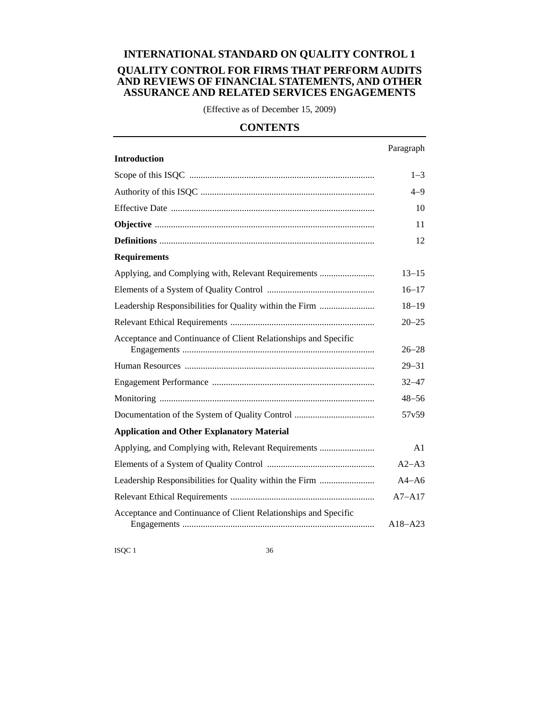# **INTERNATIONAL STANDARD ON QUALITY CONTROL 1**

# **QUALITY CONTROL FOR FIRMS THAT PERFORM AUDITS AND REVIEWS OF FINANCIAL STATEMENTS, AND OTHER ASSURANCE AND RELATED SERVICES ENGAGEMENTS**

(Effective as of December 15, 2009)

# **CONTENTS**

|                                                                 | Paragraph      |
|-----------------------------------------------------------------|----------------|
| <b>Introduction</b>                                             |                |
|                                                                 | $1 - 3$        |
|                                                                 | $4 - 9$        |
|                                                                 | 10             |
|                                                                 | 11             |
|                                                                 | 12             |
| <b>Requirements</b>                                             |                |
| Applying, and Complying with, Relevant Requirements             | $13 - 15$      |
|                                                                 | $16 - 17$      |
| Leadership Responsibilities for Quality within the Firm         | $18 - 19$      |
|                                                                 | $20 - 25$      |
| Acceptance and Continuance of Client Relationships and Specific | $26 - 28$      |
|                                                                 | $29 - 31$      |
|                                                                 | $32 - 47$      |
|                                                                 | $48 - 56$      |
|                                                                 | 57v59          |
| <b>Application and Other Explanatory Material</b>               |                |
| Applying, and Complying with, Relevant Requirements             | A <sub>1</sub> |
|                                                                 | $A2 - A3$      |
| Leadership Responsibilities for Quality within the Firm         | $A4 - A6$      |
|                                                                 | $A7 - A17$     |
| Acceptance and Continuance of Client Relationships and Specific | $A18 - A23$    |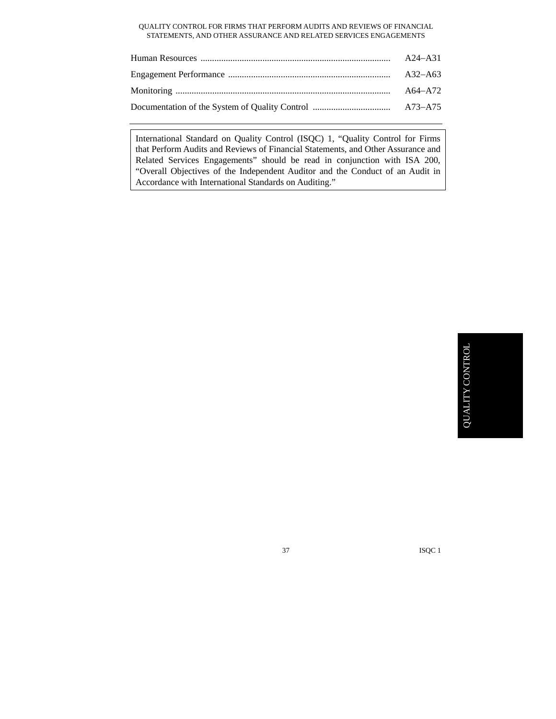QUALITY CONTROL FOR FIRMS THAT PERFORM AUDITS AND REVIEWS OF FINANCIAL STATEMENTS, AND OTHER ASSURANCE AND RELATED SERVICES ENGAGEMENTS

| $A24 - A31$ |
|-------------|
| A32–A63     |
| A64-A72     |
|             |

International Standard on Quality Control (ISQC) 1, "Quality Control for Firms that Perform Audits and Reviews of Financial Statements, and Other Assurance and Related Services Engagements" should be read in conjunction with ISA 200, "Overall Objectives of the Independent Auditor and the Conduct of an Audit in Accordance with International Standards on Auditing."

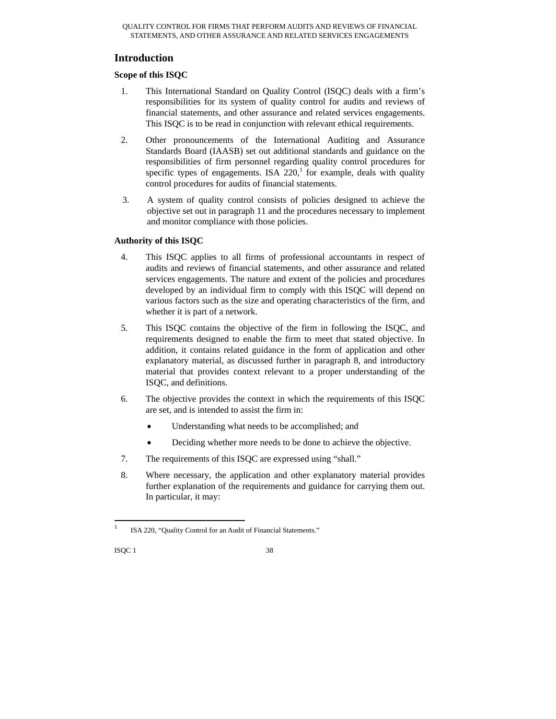# **Introduction**

# **Scope of this ISQC**

- 1. This International Standard on Quality Control (ISQC) deals with a firm's responsibilities for its system of quality control for audits and reviews of financial statements, and other assurance and related services engagements. This ISQC is to be read in conjunction with relevant ethical requirements.
- 2. Other pronouncements of the International Auditing and Assurance Standards Board (IAASB) set out additional standards and guidance on the responsibilities of firm personnel regarding quality control procedures for specific types of engagements. ISA  $220$ ,<sup>1</sup> for example, deals with quality control procedures for audits of financial statements.
- 3. A system of quality control consists of policies designed to achieve the objective set out in paragraph 11 and the procedures necessary to implement and monitor compliance with those policies.

# **Authority of this ISQC**

- 4. This ISQC applies to all firms of professional accountants in respect of audits and reviews of financial statements, and other assurance and related services engagements. The nature and extent of the policies and procedures developed by an individual firm to comply with this ISQC will depend on various factors such as the size and operating characteristics of the firm, and whether it is part of a network.
- 5. This ISQC contains the objective of the firm in following the ISQC, and requirements designed to enable the firm to meet that stated objective. In addition, it contains related guidance in the form of application and other explanatory material, as discussed further in paragraph 8, and introductory material that provides context relevant to a proper understanding of the ISQC, and definitions.
- 6. The objective provides the context in which the requirements of this ISQC are set, and is intended to assist the firm in:
	- Understanding what needs to be accomplished; and
	- Deciding whether more needs to be done to achieve the objective.
- 7. The requirements of this ISQC are expressed using "shall."
- 8. Where necessary, the application and other explanatory material provides further explanation of the requirements and guidance for carrying them out. In particular, it may:

 $ISQC 1$  38

|<br>|<br>|

ISA 220, "Quality Control for an Audit of Financial Statements."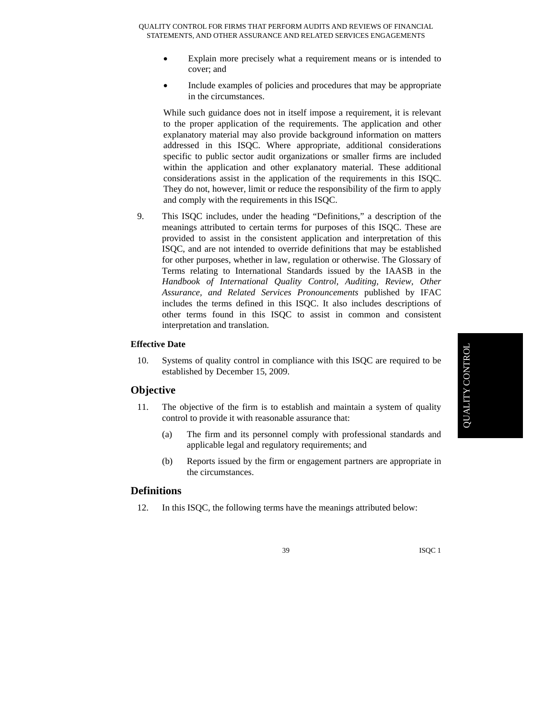- Explain more precisely what a requirement means or is intended to cover; and
- Include examples of policies and procedures that may be appropriate in the circumstances.

While such guidance does not in itself impose a requirement, it is relevant to the proper application of the requirements. The application and other explanatory material may also provide background information on matters addressed in this ISQC. Where appropriate, additional considerations specific to public sector audit organizations or smaller firms are included within the application and other explanatory material. These additional considerations assist in the application of the requirements in this ISQC. They do not, however, limit or reduce the responsibility of the firm to apply and comply with the requirements in this ISQC.

9. This ISQC includes, under the heading "Definitions," a description of the meanings attributed to certain terms for purposes of this ISQC. These are provided to assist in the consistent application and interpretation of this ISQC, and are not intended to override definitions that may be established for other purposes, whether in law, regulation or otherwise. The Glossary of Terms relating to International Standards issued by the IAASB in the *Handbook of International Quality Control, Auditing, Review, Other Assurance, and Related Services Pronouncements* published by IFAC includes the terms defined in this ISQC. It also includes descriptions of other terms found in this ISQC to assist in common and consistent interpretation and translation.

# **Effective Date**

10. Systems of quality control in compliance with this ISQC are required to be established by December 15, 2009.

# **Objective**

- 11. The objective of the firm is to establish and maintain a system of quality control to provide it with reasonable assurance that:
	- (a) The firm and its personnel comply with professional standards and applicable legal and regulatory requirements; and
	- (b) Reports issued by the firm or engagement partners are appropriate in the circumstances.

## **Definitions**

12. In this ISQC, the following terms have the meanings attributed below: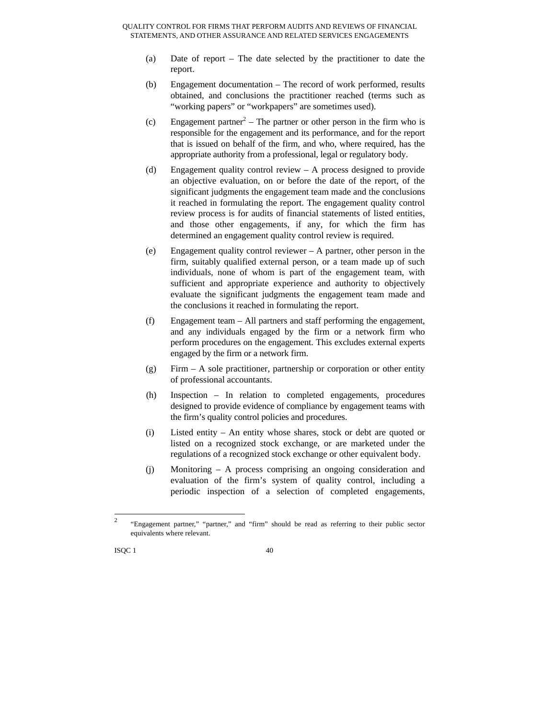- (a) Date of report The date selected by the practitioner to date the report.
- (b) Engagement documentation The record of work performed, results obtained, and conclusions the practitioner reached (terms such as "working papers" or "workpapers" are sometimes used).
- (c) Engagement partner<sup>2</sup> The partner or other person in the firm who is responsible for the engagement and its performance, and for the report that is issued on behalf of the firm, and who, where required, has the appropriate authority from a professional, legal or regulatory body.
- (d) Engagement quality control review A process designed to provide an objective evaluation, on or before the date of the report, of the significant judgments the engagement team made and the conclusions it reached in formulating the report. The engagement quality control review process is for audits of financial statements of listed entities, and those other engagements, if any, for which the firm has determined an engagement quality control review is required.
- (e) Engagement quality control reviewer A partner, other person in the firm, suitably qualified external person, or a team made up of such individuals, none of whom is part of the engagement team, with sufficient and appropriate experience and authority to objectively evaluate the significant judgments the engagement team made and the conclusions it reached in formulating the report.
- (f) Engagement team All partners and staff performing the engagement, and any individuals engaged by the firm or a network firm who perform procedures on the engagement. This excludes external experts engaged by the firm or a network firm.
- (g) Firm A sole practitioner, partnership or corporation or other entity of professional accountants.
- (h) Inspection In relation to completed engagements, procedures designed to provide evidence of compliance by engagement teams with the firm's quality control policies and procedures.
- (i) Listed entity An entity whose shares, stock or debt are quoted or listed on a recognized stock exchange, or are marketed under the regulations of a recognized stock exchange or other equivalent body.
- (j) Monitoring A process comprising an ongoing consideration and evaluation of the firm's system of quality control, including a periodic inspection of a selection of completed engagements,

 $\text{ISQC 1}$  40

 $\frac{1}{2}$ 

 <sup>&</sup>quot;Engagement partner," "partner," and "firm" should be read as referring to their public sector equivalents where relevant.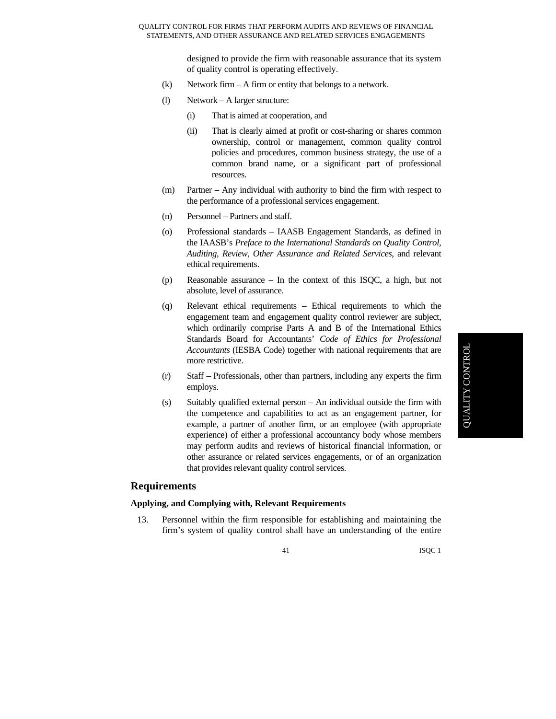designed to provide the firm with reasonable assurance that its system of quality control is operating effectively.

- (k) Network firm  $A$  firm or entity that belongs to a network.
- (l) Network A larger structure:
	- (i) That is aimed at cooperation, and
	- (ii) That is clearly aimed at profit or cost-sharing or shares common ownership, control or management, common quality control policies and procedures, common business strategy, the use of a common brand name, or a significant part of professional resources.
- (m) Partner Any individual with authority to bind the firm with respect to the performance of a professional services engagement.
- (n) Personnel Partners and staff.
- (o) Professional standards IAASB Engagement Standards, as defined in the IAASB's *Preface to the International Standards on Quality Control, Auditing, Review, Other Assurance and Related Services*, and relevant ethical requirements.
- (p) Reasonable assurance In the context of this ISQC, a high, but not absolute, level of assurance.
- (q) Relevant ethical requirements Ethical requirements to which the engagement team and engagement quality control reviewer are subject, which ordinarily comprise Parts A and B of the International Ethics Standards Board for Accountants' *Code of Ethics for Professional Accountants* (IESBA Code) together with national requirements that are more restrictive.
- (r) Staff Professionals, other than partners, including any experts the firm employs.
- (s) Suitably qualified external person An individual outside the firm with the competence and capabilities to act as an engagement partner, for example, a partner of another firm, or an employee (with appropriate experience) of either a professional accountancy body whose members may perform audits and reviews of historical financial information, or other assurance or related services engagements, or of an organization that provides relevant quality control services.

# **Requirements**

#### **Applying, and Complying with, Relevant Requirements**

13. Personnel within the firm responsible for establishing and maintaining the firm's system of quality control shall have an understanding of the entire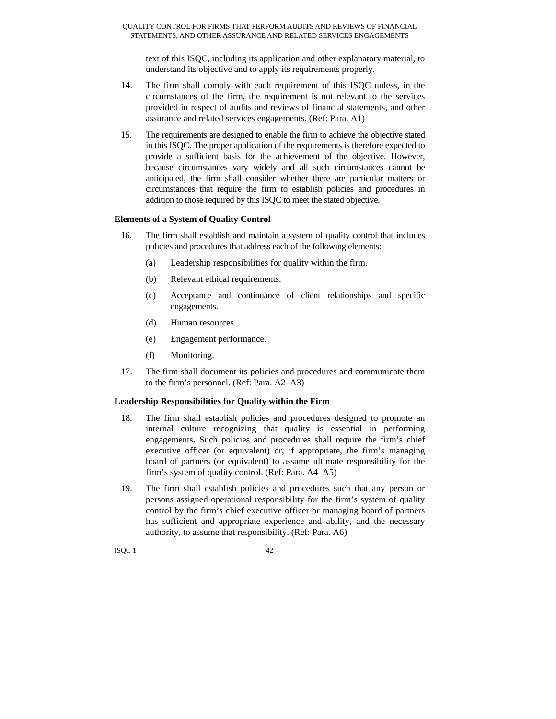text of this ISQC, including its application and other explanatory material, to understand its objective and to apply its requirements properly.

- 14. The firm shall comply with each requirement of this ISQC unless, in the circumstances of the firm, the requirement is not relevant to the services provided in respect of audits and reviews of financial statements, and other assurance and related services engagements. (Ref: Para. A1)
- 15. The requirements are designed to enable the firm to achieve the objective stated in this ISQC. The proper application of the requirements is therefore expected to provide a sufficient basis for the achievement of the objective. However, because circumstances vary widely and all such circumstances cannot be anticipated, the firm shall consider whether there are particular matters or circumstances that require the firm to establish policies and procedures in addition to those required by this ISQC to meet the stated objective.

# **Elements of a System of Quality Control**

- 16. The firm shall establish and maintain a system of quality control that includes policies and procedures that address each of the following elements:
	- (a) Leadership responsibilities for quality within the firm.
	- (b) Relevant ethical requirements.
	- (c) Acceptance and continuance of client relationships and specific engagements.
	- (d) Human resources.
	- (e) Engagement performance.
	- (f) Monitoring.
- 17. The firm shall document its policies and procedures and communicate them to the firm's personnel. (Ref: Para. A2–A3)

# **Leadership Responsibilities for Quality within the Firm**

- 18. The firm shall establish policies and procedures designed to promote an internal culture recognizing that quality is essential in performing engagements. Such policies and procedures shall require the firm's chief executive officer (or equivalent) or, if appropriate, the firm's managing board of partners (or equivalent) to assume ultimate responsibility for the firm's system of quality control. (Ref: Para. A4–A5)
- 19. The firm shall establish policies and procedures such that any person or persons assigned operational responsibility for the firm's system of quality control by the firm's chief executive officer or managing board of partners has sufficient and appropriate experience and ability, and the necessary authority, to assume that responsibility. (Ref: Para. A6)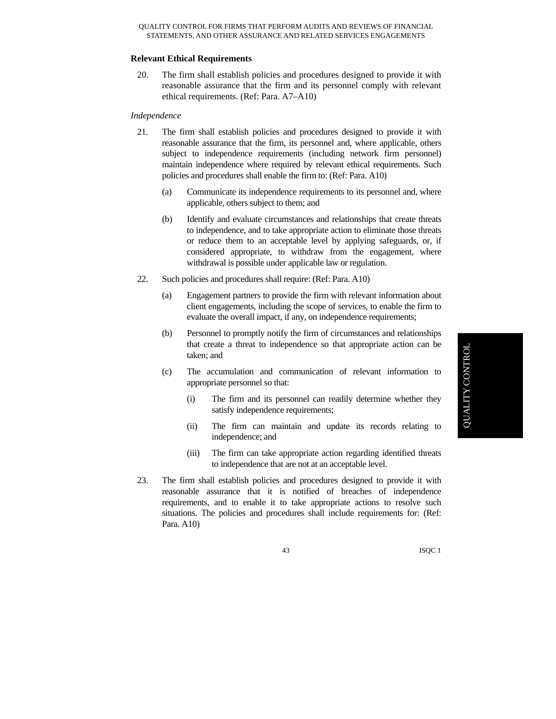## **Relevant Ethical Requirements**

20. The firm shall establish policies and procedures designed to provide it with reasonable assurance that the firm and its personnel comply with relevant ethical requirements. (Ref: Para. A7–A10)

### *Independence*

- 21. The firm shall establish policies and procedures designed to provide it with reasonable assurance that the firm, its personnel and, where applicable, others subject to independence requirements (including network firm personnel) maintain independence where required by relevant ethical requirements. Such policies and procedures shall enable the firm to: (Ref: Para. A10)
	- (a) Communicate its independence requirements to its personnel and, where applicable, others subject to them; and
	- (b) Identify and evaluate circumstances and relationships that create threats to independence, and to take appropriate action to eliminate those threats or reduce them to an acceptable level by applying safeguards, or, if considered appropriate, to withdraw from the engagement, where withdrawal is possible under applicable law or regulation.
- 22. Such policies and procedures shall require: (Ref: Para. A10)
	- (a) Engagement partners to provide the firm with relevant information about client engagements, including the scope of services, to enable the firm to evaluate the overall impact, if any, on independence requirements;
	- (b) Personnel to promptly notify the firm of circumstances and relationships that create a threat to independence so that appropriate action can be taken; and
	- (c) The accumulation and communication of relevant information to appropriate personnel so that:
		- (i) The firm and its personnel can readily determine whether they satisfy independence requirements;
		- (ii) The firm can maintain and update its records relating to independence; and
		- (iii) The firm can take appropriate action regarding identified threats to independence that are not at an acceptable level.
- 23. The firm shall establish policies and procedures designed to provide it with reasonable assurance that it is notified of breaches of independence requirements, and to enable it to take appropriate actions to resolve such situations. The policies and procedures shall include requirements for: (Ref: Para. A10)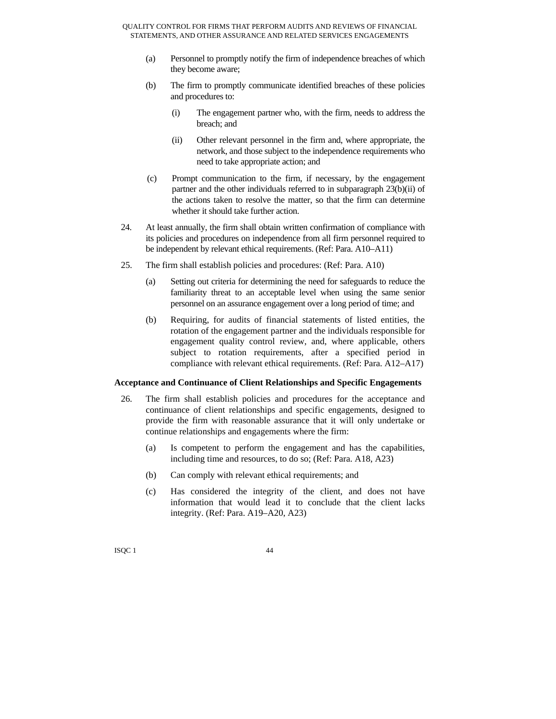- (a) Personnel to promptly notify the firm of independence breaches of which they become aware;
- (b) The firm to promptly communicate identified breaches of these policies and procedures to:
	- (i) The engagement partner who, with the firm, needs to address the breach; and
	- (ii) Other relevant personnel in the firm and, where appropriate, the network, and those subject to the independence requirements who need to take appropriate action; and
- (c) Prompt communication to the firm, if necessary, by the engagement partner and the other individuals referred to in subparagraph 23(b)(ii) of the actions taken to resolve the matter, so that the firm can determine whether it should take further action.
- 24. At least annually, the firm shall obtain written confirmation of compliance with its policies and procedures on independence from all firm personnel required to be independent by relevant ethical requirements. (Ref: Para. A10–A11)
- 25. The firm shall establish policies and procedures: (Ref: Para. A10)
	- (a) Setting out criteria for determining the need for safeguards to reduce the familiarity threat to an acceptable level when using the same senior personnel on an assurance engagement over a long period of time; and
	- (b) Requiring, for audits of financial statements of listed entities, the rotation of the engagement partner and the individuals responsible for engagement quality control review, and, where applicable, others subject to rotation requirements, after a specified period in compliance with relevant ethical requirements. (Ref: Para. A12–A17)

# **Acceptance and Continuance of Client Relationships and Specific Engagements**

- 26. The firm shall establish policies and procedures for the acceptance and continuance of client relationships and specific engagements, designed to provide the firm with reasonable assurance that it will only undertake or continue relationships and engagements where the firm:
	- (a) Is competent to perform the engagement and has the capabilities, including time and resources, to do so; (Ref: Para. A18, A23)
	- (b) Can comply with relevant ethical requirements; and
	- (c) Has considered the integrity of the client, and does not have information that would lead it to conclude that the client lacks integrity. (Ref: Para. A19–A20, A23)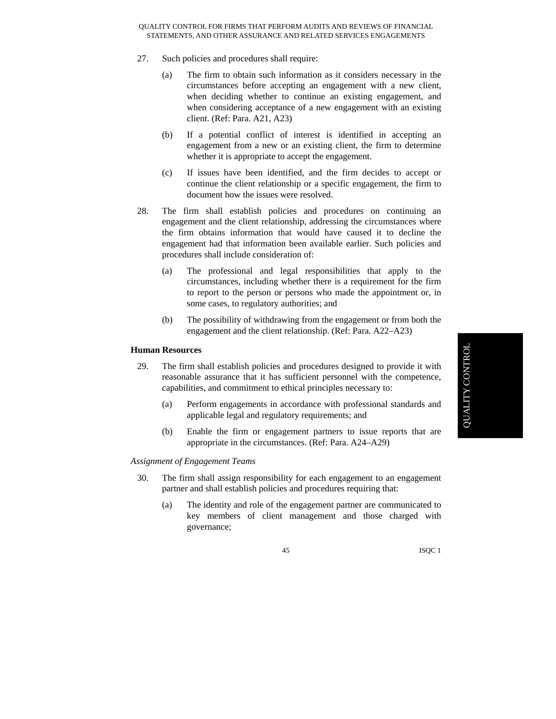- 27. Such policies and procedures shall require:
	- (a) The firm to obtain such information as it considers necessary in the circumstances before accepting an engagement with a new client, when deciding whether to continue an existing engagement, and when considering acceptance of a new engagement with an existing client. (Ref: Para. A21, A23)
	- (b) If a potential conflict of interest is identified in accepting an engagement from a new or an existing client, the firm to determine whether it is appropriate to accept the engagement.
	- (c) If issues have been identified, and the firm decides to accept or continue the client relationship or a specific engagement, the firm to document how the issues were resolved.
- 28. The firm shall establish policies and procedures on continuing an engagement and the client relationship, addressing the circumstances where the firm obtains information that would have caused it to decline the engagement had that information been available earlier. Such policies and procedures shall include consideration of:
	- (a) The professional and legal responsibilities that apply to the circumstances, including whether there is a requirement for the firm to report to the person or persons who made the appointment or, in some cases, to regulatory authorities; and
	- (b) The possibility of withdrawing from the engagement or from both the engagement and the client relationship. (Ref: Para. A22–A23)

## **Human Resources**

- 29. The firm shall establish policies and procedures designed to provide it with reasonable assurance that it has sufficient personnel with the competence, capabilities, and commitment to ethical principles necessary to:
	- (a) Perform engagements in accordance with professional standards and applicable legal and regulatory requirements; and
	- (b) Enable the firm or engagement partners to issue reports that are appropriate in the circumstances. (Ref: Para. A24–A29)

#### *Assignment of Engagement Teams*

- 30. The firm shall assign responsibility for each engagement to an engagement partner and shall establish policies and procedures requiring that:
	- (a) The identity and role of the engagement partner are communicated to key members of client management and those charged with governance;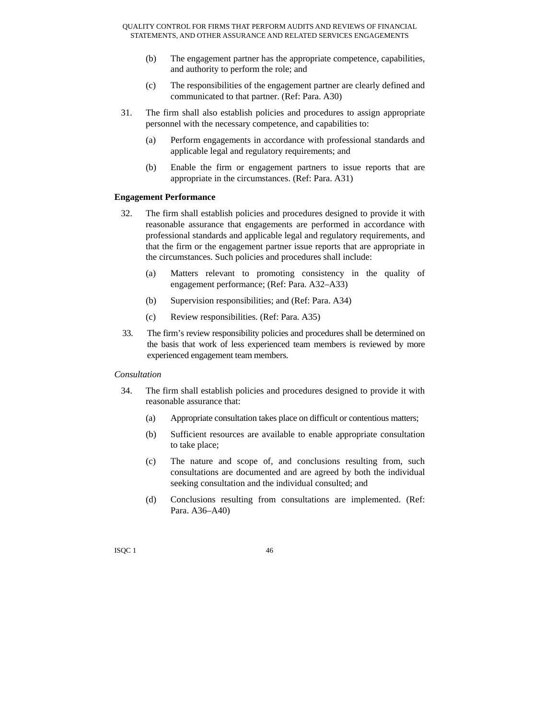- (b) The engagement partner has the appropriate competence, capabilities, and authority to perform the role; and
- (c) The responsibilities of the engagement partner are clearly defined and communicated to that partner. (Ref: Para. A30)
- 31. The firm shall also establish policies and procedures to assign appropriate personnel with the necessary competence, and capabilities to:
	- (a) Perform engagements in accordance with professional standards and applicable legal and regulatory requirements; and
	- (b) Enable the firm or engagement partners to issue reports that are appropriate in the circumstances. (Ref: Para. A31)

### **Engagement Performance**

- 32. The firm shall establish policies and procedures designed to provide it with reasonable assurance that engagements are performed in accordance with professional standards and applicable legal and regulatory requirements, and that the firm or the engagement partner issue reports that are appropriate in the circumstances. Such policies and procedures shall include:
	- (a) Matters relevant to promoting consistency in the quality of engagement performance; (Ref: Para. A32–A33)
	- (b) Supervision responsibilities; and (Ref: Para. A34)
	- (c) Review responsibilities. (Ref: Para. A35)
- 33. The firm's review responsibility policies and procedures shall be determined on the basis that work of less experienced team members is reviewed by more experienced engagement team members.

#### *Consultation*

- 34. The firm shall establish policies and procedures designed to provide it with reasonable assurance that:
	- (a) Appropriate consultation takes place on difficult or contentious matters;
	- (b) Sufficient resources are available to enable appropriate consultation to take place;
	- (c) The nature and scope of, and conclusions resulting from, such consultations are documented and are agreed by both the individual seeking consultation and the individual consulted; and
	- (d) Conclusions resulting from consultations are implemented. (Ref: Para. A36–A40)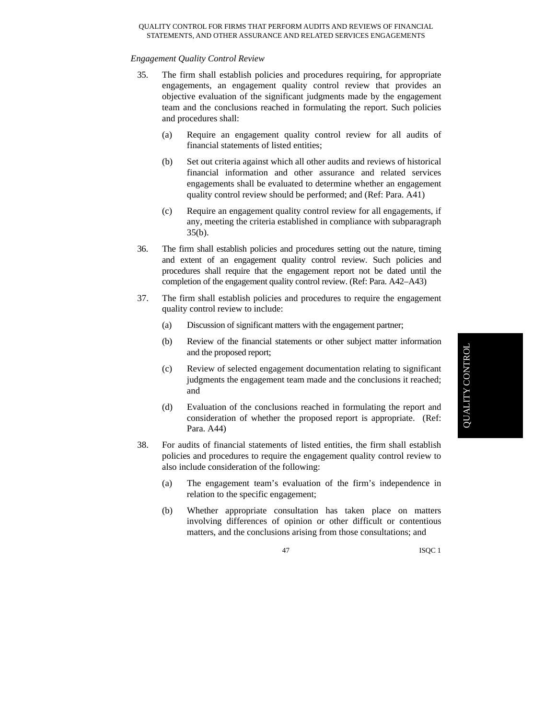# *Engagement Quality Control Review*

- 35. The firm shall establish policies and procedures requiring, for appropriate engagements, an engagement quality control review that provides an objective evaluation of the significant judgments made by the engagement team and the conclusions reached in formulating the report. Such policies and procedures shall:
	- (a) Require an engagement quality control review for all audits of financial statements of listed entities;
	- (b) Set out criteria against which all other audits and reviews of historical financial information and other assurance and related services engagements shall be evaluated to determine whether an engagement quality control review should be performed; and (Ref: Para. A41)
	- (c) Require an engagement quality control review for all engagements, if any, meeting the criteria established in compliance with subparagraph 35(b).
- 36. The firm shall establish policies and procedures setting out the nature, timing and extent of an engagement quality control review. Such policies and procedures shall require that the engagement report not be dated until the completion of the engagement quality control review. (Ref: Para. A42–A43)
- 37. The firm shall establish policies and procedures to require the engagement quality control review to include:
	- (a) Discussion of significant matters with the engagement partner;
	- (b) Review of the financial statements or other subject matter information and the proposed report;
	- (c) Review of selected engagement documentation relating to significant judgments the engagement team made and the conclusions it reached; and
	- (d) Evaluation of the conclusions reached in formulating the report and consideration of whether the proposed report is appropriate. (Ref: Para. A44)
- 38. For audits of financial statements of listed entities, the firm shall establish policies and procedures to require the engagement quality control review to also include consideration of the following:
	- (a) The engagement team's evaluation of the firm's independence in relation to the specific engagement;
	- (b) Whether appropriate consultation has taken place on matters involving differences of opinion or other difficult or contentious matters, and the conclusions arising from those consultations; and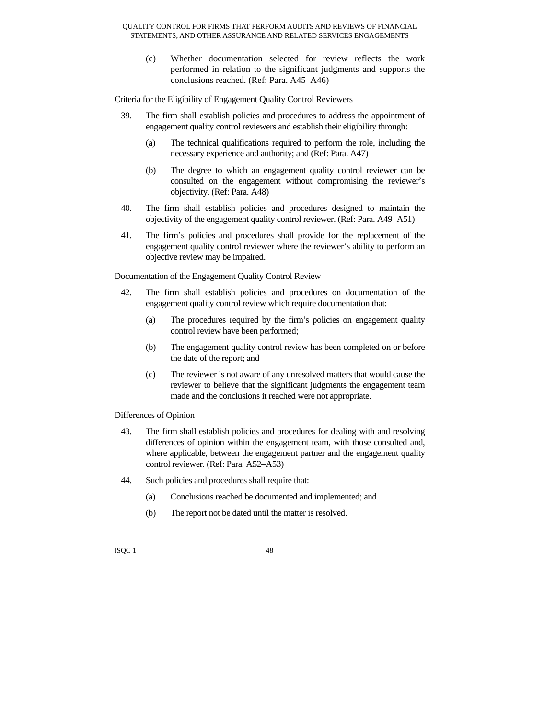(c) Whether documentation selected for review reflects the work performed in relation to the significant judgments and supports the conclusions reached. (Ref: Para. A45–A46)

Criteria for the Eligibility of Engagement Quality Control Reviewers

- 39. The firm shall establish policies and procedures to address the appointment of engagement quality control reviewers and establish their eligibility through:
	- (a) The technical qualifications required to perform the role, including the necessary experience and authority; and (Ref: Para. A47)
	- (b) The degree to which an engagement quality control reviewer can be consulted on the engagement without compromising the reviewer's objectivity. (Ref: Para. A48)
- 40. The firm shall establish policies and procedures designed to maintain the objectivity of the engagement quality control reviewer. (Ref: Para. A49–A51)
- 41. The firm's policies and procedures shall provide for the replacement of the engagement quality control reviewer where the reviewer's ability to perform an objective review may be impaired.

Documentation of the Engagement Quality Control Review

- 42. The firm shall establish policies and procedures on documentation of the engagement quality control review which require documentation that:
	- (a) The procedures required by the firm's policies on engagement quality control review have been performed;
	- (b) The engagement quality control review has been completed on or before the date of the report; and
	- (c) The reviewer is not aware of any unresolved matters that would cause the reviewer to believe that the significant judgments the engagement team made and the conclusions it reached were not appropriate.

Differences of Opinion

- 43. The firm shall establish policies and procedures for dealing with and resolving differences of opinion within the engagement team, with those consulted and, where applicable, between the engagement partner and the engagement quality control reviewer. (Ref: Para. A52–A53)
- 44. Such policies and procedures shall require that:
	- (a) Conclusions reached be documented and implemented; and
	- (b) The report not be dated until the matter is resolved.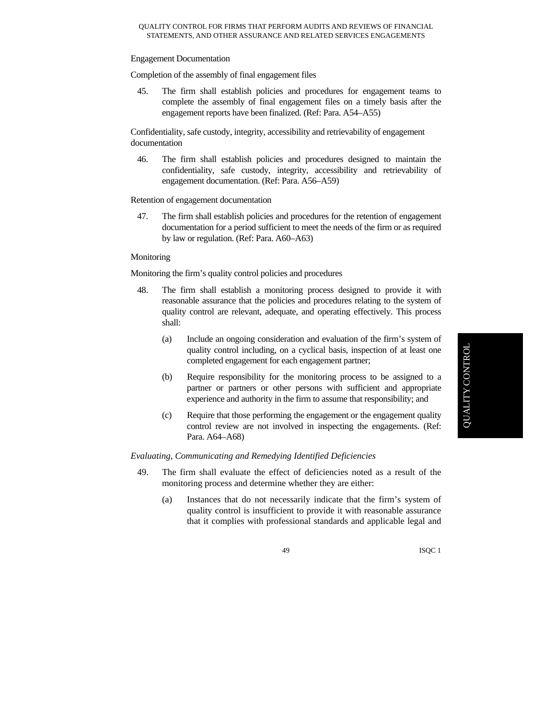#### Engagement Documentation

Completion of the assembly of final engagement files

45. The firm shall establish policies and procedures for engagement teams to complete the assembly of final engagement files on a timely basis after the engagement reports have been finalized. (Ref: Para. A54–A55)

Confidentiality, safe custody, integrity, accessibility and retrievability of engagement documentation

46. The firm shall establish policies and procedures designed to maintain the confidentiality, safe custody, integrity, accessibility and retrievability of engagement documentation. (Ref: Para. A56–A59)

Retention of engagement documentation

47. The firm shall establish policies and procedures for the retention of engagement documentation for a period sufficient to meet the needs of the firm or as required by law or regulation. (Ref: Para. A60–A63)

#### Monitoring

Monitoring the firm's quality control policies and procedures

- 48. The firm shall establish a monitoring process designed to provide it with reasonable assurance that the policies and procedures relating to the system of quality control are relevant, adequate, and operating effectively. This process shall:
	- (a) Include an ongoing consideration and evaluation of the firm's system of quality control including, on a cyclical basis, inspection of at least one completed engagement for each engagement partner;
	- (b) Require responsibility for the monitoring process to be assigned to a partner or partners or other persons with sufficient and appropriate experience and authority in the firm to assume that responsibility; and
	- (c) Require that those performing the engagement or the engagement quality control review are not involved in inspecting the engagements. (Ref: Para. A64–A68)

## *Evaluating, Communicating and Remedying Identified Deficiencies*

- 49. The firm shall evaluate the effect of deficiencies noted as a result of the monitoring process and determine whether they are either:
	- (a) Instances that do not necessarily indicate that the firm's system of quality control is insufficient to provide it with reasonable assurance that it complies with professional standards and applicable legal and

49 ISQC 1

QUALITY CONTROL

**QUALITY CONTROL**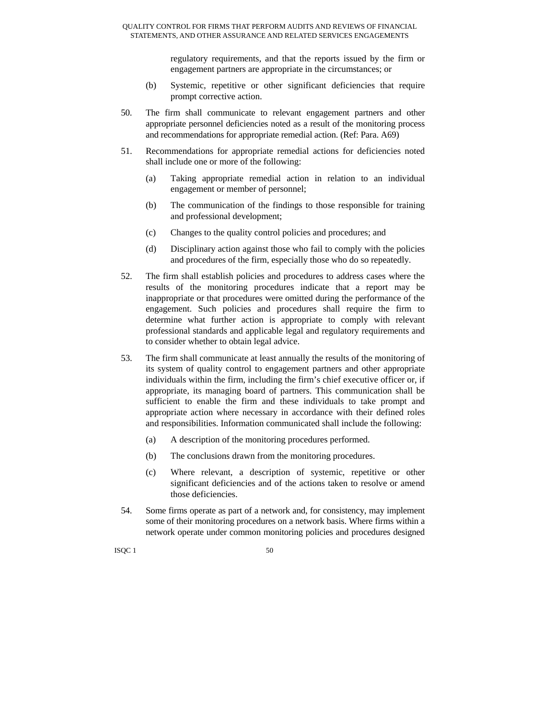regulatory requirements, and that the reports issued by the firm or engagement partners are appropriate in the circumstances; or

- (b) Systemic, repetitive or other significant deficiencies that require prompt corrective action.
- 50. The firm shall communicate to relevant engagement partners and other appropriate personnel deficiencies noted as a result of the monitoring process and recommendations for appropriate remedial action. (Ref: Para. A69)
- 51. Recommendations for appropriate remedial actions for deficiencies noted shall include one or more of the following:
	- (a) Taking appropriate remedial action in relation to an individual engagement or member of personnel;
	- (b) The communication of the findings to those responsible for training and professional development;
	- (c) Changes to the quality control policies and procedures; and
	- (d) Disciplinary action against those who fail to comply with the policies and procedures of the firm, especially those who do so repeatedly.
- 52. The firm shall establish policies and procedures to address cases where the results of the monitoring procedures indicate that a report may be inappropriate or that procedures were omitted during the performance of the engagement. Such policies and procedures shall require the firm to determine what further action is appropriate to comply with relevant professional standards and applicable legal and regulatory requirements and to consider whether to obtain legal advice.
- 53. The firm shall communicate at least annually the results of the monitoring of its system of quality control to engagement partners and other appropriate individuals within the firm, including the firm's chief executive officer or, if appropriate, its managing board of partners. This communication shall be sufficient to enable the firm and these individuals to take prompt and appropriate action where necessary in accordance with their defined roles and responsibilities. Information communicated shall include the following:
	- (a) A description of the monitoring procedures performed.
	- (b) The conclusions drawn from the monitoring procedures.
	- (c) Where relevant, a description of systemic, repetitive or other significant deficiencies and of the actions taken to resolve or amend those deficiencies.
- 54. Some firms operate as part of a network and, for consistency, may implement some of their monitoring procedures on a network basis. Where firms within a network operate under common monitoring policies and procedures designed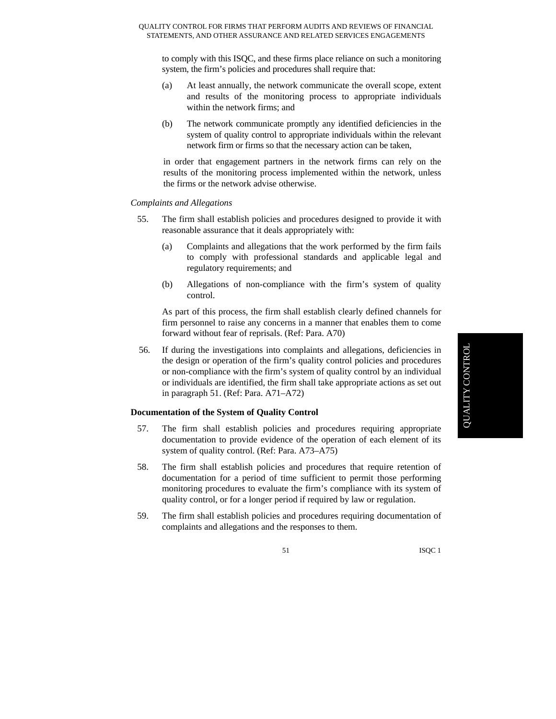to comply with this ISQC, and these firms place reliance on such a monitoring system, the firm's policies and procedures shall require that:

- (a) At least annually, the network communicate the overall scope, extent and results of the monitoring process to appropriate individuals within the network firms; and
- (b) The network communicate promptly any identified deficiencies in the system of quality control to appropriate individuals within the relevant network firm or firms so that the necessary action can be taken,

 in order that engagement partners in the network firms can rely on the results of the monitoring process implemented within the network, unless the firms or the network advise otherwise.

#### *Complaints and Allegations*

- 55. The firm shall establish policies and procedures designed to provide it with reasonable assurance that it deals appropriately with:
	- (a) Complaints and allegations that the work performed by the firm fails to comply with professional standards and applicable legal and regulatory requirements; and
	- (b) Allegations of non-compliance with the firm's system of quality control.

 As part of this process, the firm shall establish clearly defined channels for firm personnel to raise any concerns in a manner that enables them to come forward without fear of reprisals. (Ref: Para. A70)

56. If during the investigations into complaints and allegations, deficiencies in the design or operation of the firm's quality control policies and procedures or non-compliance with the firm's system of quality control by an individual or individuals are identified, the firm shall take appropriate actions as set out in paragraph 51. (Ref: Para. A71–A72)

## **Documentation of the System of Quality Control**

- 57. The firm shall establish policies and procedures requiring appropriate documentation to provide evidence of the operation of each element of its system of quality control. (Ref: Para. A73–A75)
- 58. The firm shall establish policies and procedures that require retention of documentation for a period of time sufficient to permit those performing monitoring procedures to evaluate the firm's compliance with its system of quality control, or for a longer period if required by law or regulation.
- 59. The firm shall establish policies and procedures requiring documentation of complaints and allegations and the responses to them.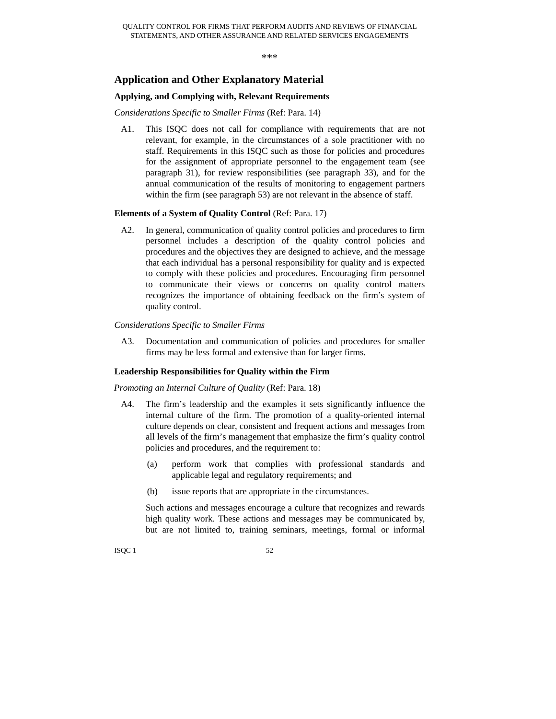\*\*\*

# **Application and Other Explanatory Material**

## **Applying, and Complying with, Relevant Requirements**

*Considerations Specific to Smaller Firms* (Ref: Para. 14)

A1. This ISQC does not call for compliance with requirements that are not relevant, for example, in the circumstances of a sole practitioner with no staff. Requirements in this ISQC such as those for policies and procedures for the assignment of appropriate personnel to the engagement team (see paragraph 31), for review responsibilities (see paragraph 33), and for the annual communication of the results of monitoring to engagement partners within the firm (see paragraph 53) are not relevant in the absence of staff.

## **Elements of a System of Quality Control (Ref: Para. 17)**

A2. In general, communication of quality control policies and procedures to firm personnel includes a description of the quality control policies and procedures and the objectives they are designed to achieve, and the message that each individual has a personal responsibility for quality and is expected to comply with these policies and procedures. Encouraging firm personnel to communicate their views or concerns on quality control matters recognizes the importance of obtaining feedback on the firm's system of quality control.

### *Considerations Specific to Smaller Firms*

A3. Documentation and communication of policies and procedures for smaller firms may be less formal and extensive than for larger firms.

#### **Leadership Responsibilities for Quality within the Firm**

*Promoting an Internal Culture of Quality* (Ref: Para. 18)

- A4. The firm's leadership and the examples it sets significantly influence the internal culture of the firm. The promotion of a quality-oriented internal culture depends on clear, consistent and frequent actions and messages from all levels of the firm's management that emphasize the firm's quality control policies and procedures, and the requirement to:
	- (a) perform work that complies with professional standards and applicable legal and regulatory requirements; and
	- (b) issue reports that are appropriate in the circumstances.

Such actions and messages encourage a culture that recognizes and rewards high quality work. These actions and messages may be communicated by, but are not limited to, training seminars, meetings, formal or informal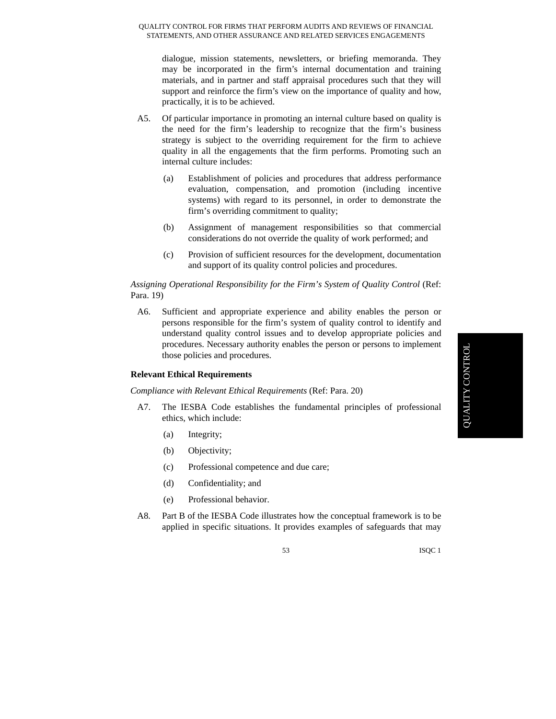dialogue, mission statements, newsletters, or briefing memoranda. They may be incorporated in the firm's internal documentation and training materials, and in partner and staff appraisal procedures such that they will support and reinforce the firm's view on the importance of quality and how, practically, it is to be achieved.

- A5. Of particular importance in promoting an internal culture based on quality is the need for the firm's leadership to recognize that the firm's business strategy is subject to the overriding requirement for the firm to achieve quality in all the engagements that the firm performs. Promoting such an internal culture includes:
	- (a) Establishment of policies and procedures that address performance evaluation, compensation, and promotion (including incentive systems) with regard to its personnel, in order to demonstrate the firm's overriding commitment to quality;
	- (b) Assignment of management responsibilities so that commercial considerations do not override the quality of work performed; and
	- (c) Provision of sufficient resources for the development, documentation and support of its quality control policies and procedures.

# *Assigning Operational Responsibility for the Firm's System of Quality Control* (Ref: Para. 19)

A6. Sufficient and appropriate experience and ability enables the person or persons responsible for the firm's system of quality control to identify and understand quality control issues and to develop appropriate policies and procedures. Necessary authority enables the person or persons to implement those policies and procedures.

# **Relevant Ethical Requirements**

*Compliance with Relevant Ethical Requirements* (Ref: Para. 20)

- A7. The IESBA Code establishes the fundamental principles of professional ethics, which include:
	- (a) Integrity;
	- (b) Objectivity;
	- (c) Professional competence and due care;
	- (d) Confidentiality; and
	- (e) Professional behavior.
- A8. Part B of the IESBA Code illustrates how the conceptual framework is to be applied in specific situations. It provides examples of safeguards that may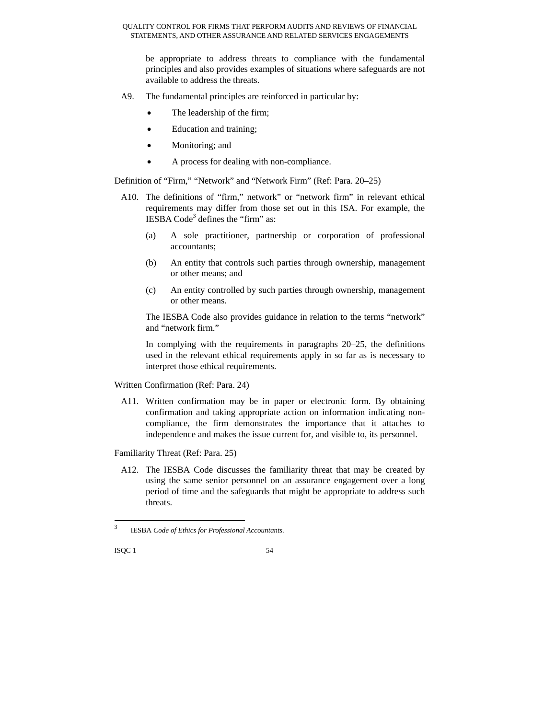be appropriate to address threats to compliance with the fundamental principles and also provides examples of situations where safeguards are not available to address the threats.

- A9. The fundamental principles are reinforced in particular by:
	- The leadership of the firm;
	- Education and training;
	- Monitoring; and
	- A process for dealing with non-compliance.

Definition of "Firm," "Network" and "Network Firm" (Ref: Para. 20–25)

- A10. The definitions of "firm," network" or "network firm" in relevant ethical requirements may differ from those set out in this ISA. For example, the IESBA Code<sup>3</sup> defines the "firm" as:
	- (a) A sole practitioner, partnership or corporation of professional accountants;
	- (b) An entity that controls such parties through ownership, management or other means; and
	- (c) An entity controlled by such parties through ownership, management or other means.

The IESBA Code also provides guidance in relation to the terms "network" and "network firm."

In complying with the requirements in paragraphs 20–25, the definitions used in the relevant ethical requirements apply in so far as is necessary to interpret those ethical requirements.

Written Confirmation (Ref: Para. 24)

A11. Written confirmation may be in paper or electronic form. By obtaining confirmation and taking appropriate action on information indicating noncompliance, the firm demonstrates the importance that it attaches to independence and makes the issue current for, and visible to, its personnel.

Familiarity Threat (Ref: Para. 25)

A12. The IESBA Code discusses the familiarity threat that may be created by using the same senior personnel on an assurance engagement over a long period of time and the safeguards that might be appropriate to address such threats.

 3 IESBA *Code of Ethics for Professional Accountants.*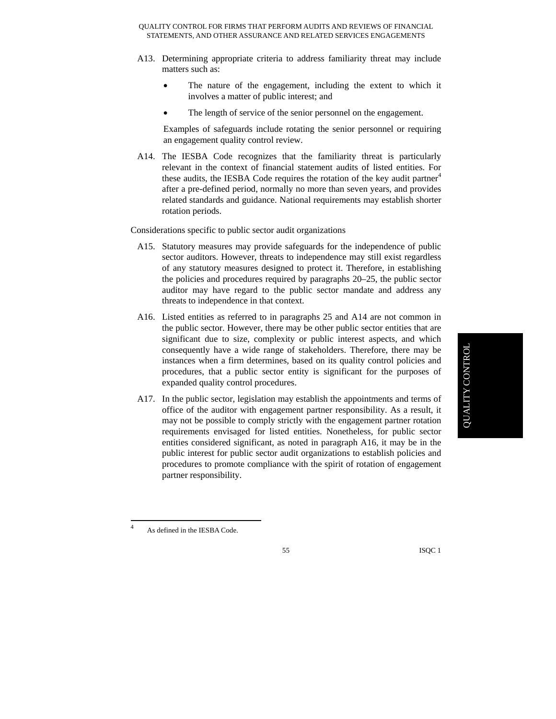- A13. Determining appropriate criteria to address familiarity threat may include matters such as:
	- The nature of the engagement, including the extent to which it involves a matter of public interest; and
	- The length of service of the senior personnel on the engagement.

Examples of safeguards include rotating the senior personnel or requiring an engagement quality control review.

A14. The IESBA Code recognizes that the familiarity threat is particularly relevant in the context of financial statement audits of listed entities. For these audits, the IESBA Code requires the rotation of the key audit partner<sup>4</sup> after a pre-defined period, normally no more than seven years, and provides related standards and guidance. National requirements may establish shorter rotation periods.

Considerations specific to public sector audit organizations

- A15. Statutory measures may provide safeguards for the independence of public sector auditors. However, threats to independence may still exist regardless of any statutory measures designed to protect it. Therefore, in establishing the policies and procedures required by paragraphs 20–25, the public sector auditor may have regard to the public sector mandate and address any threats to independence in that context.
- A16. Listed entities as referred to in paragraphs 25 and A14 are not common in the public sector. However, there may be other public sector entities that are significant due to size, complexity or public interest aspects, and which consequently have a wide range of stakeholders. Therefore, there may be instances when a firm determines, based on its quality control policies and procedures, that a public sector entity is significant for the purposes of expanded quality control procedures.
- A17. In the public sector, legislation may establish the appointments and terms of office of the auditor with engagement partner responsibility. As a result, it may not be possible to comply strictly with the engagement partner rotation requirements envisaged for listed entities. Nonetheless, for public sector entities considered significant, as noted in paragraph A16, it may be in the public interest for public sector audit organizations to establish policies and procedures to promote compliance with the spirit of rotation of engagement partner responsibility.



 $\frac{1}{4}$ As defined in the IESBA Code.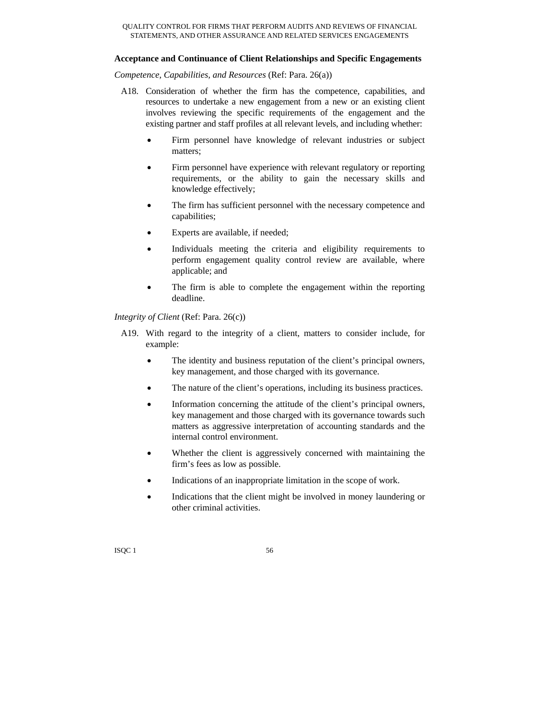# **Acceptance and Continuance of Client Relationships and Specific Engagements**

*Competence, Capabilities, and Resources* (Ref: Para. 26(a))

- A18. Consideration of whether the firm has the competence, capabilities, and resources to undertake a new engagement from a new or an existing client involves reviewing the specific requirements of the engagement and the existing partner and staff profiles at all relevant levels, and including whether:
	- Firm personnel have knowledge of relevant industries or subject matters;
	- Firm personnel have experience with relevant regulatory or reporting requirements, or the ability to gain the necessary skills and knowledge effectively;
	- The firm has sufficient personnel with the necessary competence and capabilities;
	- Experts are available, if needed;
	- Individuals meeting the criteria and eligibility requirements to perform engagement quality control review are available, where applicable; and
	- The firm is able to complete the engagement within the reporting deadline.

*Integrity of Client* (Ref: Para. 26(c))

- A19. With regard to the integrity of a client, matters to consider include, for example:
	- The identity and business reputation of the client's principal owners, key management, and those charged with its governance.
	- The nature of the client's operations, including its business practices.
	- Information concerning the attitude of the client's principal owners, key management and those charged with its governance towards such matters as aggressive interpretation of accounting standards and the internal control environment.
	- Whether the client is aggressively concerned with maintaining the firm's fees as low as possible.
	- Indications of an inappropriate limitation in the scope of work.
	- Indications that the client might be involved in money laundering or other criminal activities.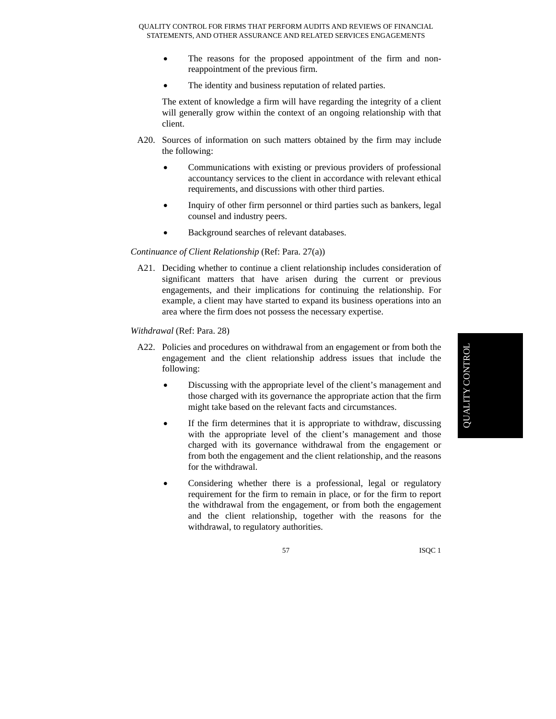- The reasons for the proposed appointment of the firm and nonreappointment of the previous firm.
- The identity and business reputation of related parties.

The extent of knowledge a firm will have regarding the integrity of a client will generally grow within the context of an ongoing relationship with that client.

- A20. Sources of information on such matters obtained by the firm may include the following:
	- Communications with existing or previous providers of professional accountancy services to the client in accordance with relevant ethical requirements, and discussions with other third parties.
	- Inquiry of other firm personnel or third parties such as bankers, legal counsel and industry peers.
	- Background searches of relevant databases.

## *Continuance of Client Relationship* (Ref: Para. 27(a))

A21. Deciding whether to continue a client relationship includes consideration of significant matters that have arisen during the current or previous engagements, and their implications for continuing the relationship. For example, a client may have started to expand its business operations into an area where the firm does not possess the necessary expertise.

#### *Withdrawal* (Ref: Para. 28)

- A22. Policies and procedures on withdrawal from an engagement or from both the engagement and the client relationship address issues that include the following:
	- Discussing with the appropriate level of the client's management and those charged with its governance the appropriate action that the firm might take based on the relevant facts and circumstances.
	- If the firm determines that it is appropriate to withdraw, discussing with the appropriate level of the client's management and those charged with its governance withdrawal from the engagement or from both the engagement and the client relationship, and the reasons for the withdrawal.
	- Considering whether there is a professional, legal or regulatory requirement for the firm to remain in place, or for the firm to report the withdrawal from the engagement, or from both the engagement and the client relationship, together with the reasons for the withdrawal, to regulatory authorities.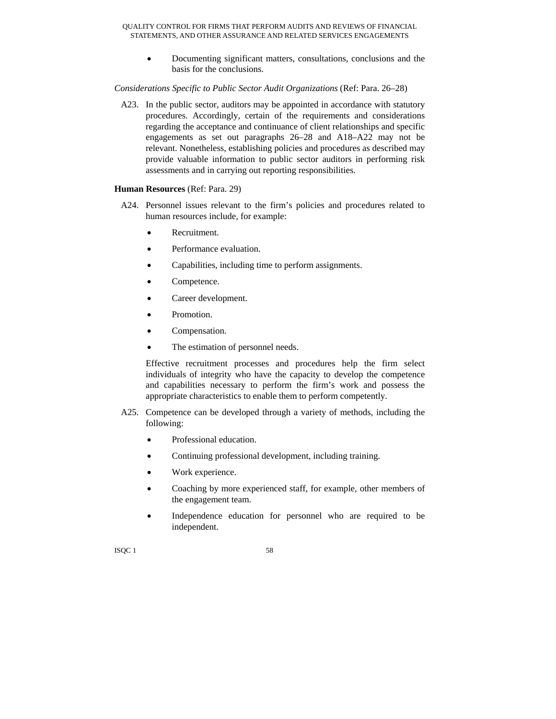#### QUALITY CONTROL FOR FIRMS THAT PERFORM AUDITS AND REVIEWS OF FINANCIAL STATEMENTS, AND OTHER ASSURANCE AND RELATED SERVICES ENGAGEMENTS

• Documenting significant matters, consultations, conclusions and the basis for the conclusions.

### *Considerations Specific to Public Sector Audit Organizations* (Ref: Para. 26–28)

A23. In the public sector, auditors may be appointed in accordance with statutory procedures. Accordingly, certain of the requirements and considerations regarding the acceptance and continuance of client relationships and specific engagements as set out paragraphs 26–28 and A18–A22 may not be relevant. Nonetheless, establishing policies and procedures as described may provide valuable information to public sector auditors in performing risk assessments and in carrying out reporting responsibilities.

# **Human Resources** (Ref: Para. 29)

- A24. Personnel issues relevant to the firm's policies and procedures related to human resources include, for example:
	- Recruitment.
	- Performance evaluation.
	- Capabilities, including time to perform assignments.
	- Competence.
	- Career development.
	- Promotion.
	- Compensation.
	- The estimation of personnel needs.

 Effective recruitment processes and procedures help the firm select individuals of integrity who have the capacity to develop the competence and capabilities necessary to perform the firm's work and possess the appropriate characteristics to enable them to perform competently.

- A25. Competence can be developed through a variety of methods, including the following:
	- Professional education.
	- Continuing professional development, including training.
	- Work experience.
	- Coaching by more experienced staff, for example, other members of the engagement team.
	- Independence education for personnel who are required to be independent.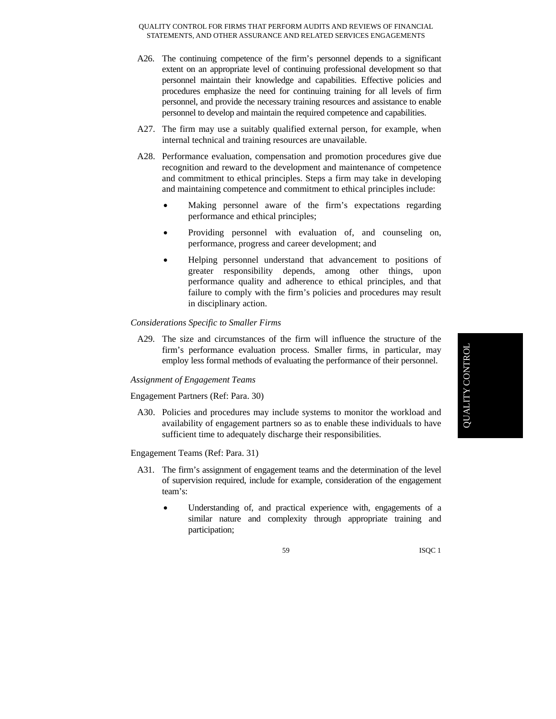- A26. The continuing competence of the firm's personnel depends to a significant extent on an appropriate level of continuing professional development so that personnel maintain their knowledge and capabilities. Effective policies and procedures emphasize the need for continuing training for all levels of firm personnel, and provide the necessary training resources and assistance to enable personnel to develop and maintain the required competence and capabilities.
- A27. The firm may use a suitably qualified external person, for example, when internal technical and training resources are unavailable.
- A28. Performance evaluation, compensation and promotion procedures give due recognition and reward to the development and maintenance of competence and commitment to ethical principles. Steps a firm may take in developing and maintaining competence and commitment to ethical principles include:
	- Making personnel aware of the firm's expectations regarding performance and ethical principles;
	- Providing personnel with evaluation of, and counseling on, performance, progress and career development; and
	- Helping personnel understand that advancement to positions of greater responsibility depends, among other things, upon performance quality and adherence to ethical principles, and that failure to comply with the firm's policies and procedures may result in disciplinary action.

#### *Considerations Specific to Smaller Firms*

A29. The size and circumstances of the firm will influence the structure of the firm's performance evaluation process. Smaller firms, in particular, may employ less formal methods of evaluating the performance of their personnel.

### *Assignment of Engagement Teams*

### Engagement Partners (Ref: Para. 30)

A30. Policies and procedures may include systems to monitor the workload and availability of engagement partners so as to enable these individuals to have sufficient time to adequately discharge their responsibilities.

# Engagement Teams (Ref: Para. 31)

- A31. The firm's assignment of engagement teams and the determination of the level of supervision required, include for example, consideration of the engagement team's:
	- Understanding of, and practical experience with, engagements of a similar nature and complexity through appropriate training and participation;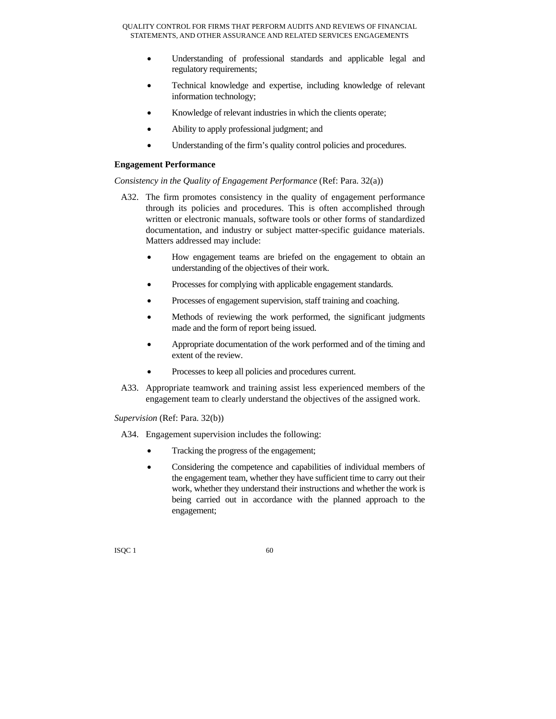- Understanding of professional standards and applicable legal and regulatory requirements;
- Technical knowledge and expertise, including knowledge of relevant information technology;
- Knowledge of relevant industries in which the clients operate;
- Ability to apply professional judgment; and
- Understanding of the firm's quality control policies and procedures.

# **Engagement Performance**

*Consistency in the Quality of Engagement Performance* (Ref: Para. 32(a))

- A32. The firm promotes consistency in the quality of engagement performance through its policies and procedures. This is often accomplished through written or electronic manuals, software tools or other forms of standardized documentation, and industry or subject matter-specific guidance materials. Matters addressed may include:
	- How engagement teams are briefed on the engagement to obtain an understanding of the objectives of their work.
	- Processes for complying with applicable engagement standards.
	- Processes of engagement supervision, staff training and coaching.
	- Methods of reviewing the work performed, the significant judgments made and the form of report being issued.
	- Appropriate documentation of the work performed and of the timing and extent of the review.
	- Processes to keep all policies and procedures current.
- A33. Appropriate teamwork and training assist less experienced members of the engagement team to clearly understand the objectives of the assigned work.

*Supervision* (Ref: Para. 32(b))

A34. Engagement supervision includes the following:

- Tracking the progress of the engagement;
- Considering the competence and capabilities of individual members of the engagement team, whether they have sufficient time to carry out their work, whether they understand their instructions and whether the work is being carried out in accordance with the planned approach to the engagement;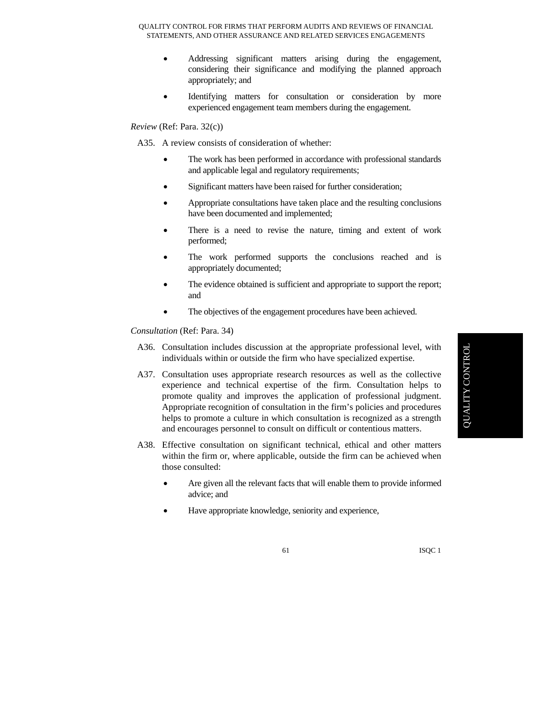- Addressing significant matters arising during the engagement, considering their significance and modifying the planned approach appropriately; and
- Identifying matters for consultation or consideration by more experienced engagement team members during the engagement.

## *Review* (Ref: Para. 32(c))

A35. A review consists of consideration of whether:

- The work has been performed in accordance with professional standards and applicable legal and regulatory requirements;
- Significant matters have been raised for further consideration;
- Appropriate consultations have taken place and the resulting conclusions have been documented and implemented;
- There is a need to revise the nature, timing and extent of work performed;
- The work performed supports the conclusions reached and is appropriately documented;
- The evidence obtained is sufficient and appropriate to support the report; and
- The objectives of the engagement procedures have been achieved.

*Consultation* (Ref: Para. 34)

- A36. Consultation includes discussion at the appropriate professional level, with individuals within or outside the firm who have specialized expertise.
- A37. Consultation uses appropriate research resources as well as the collective experience and technical expertise of the firm. Consultation helps to promote quality and improves the application of professional judgment. Appropriate recognition of consultation in the firm's policies and procedures helps to promote a culture in which consultation is recognized as a strength and encourages personnel to consult on difficult or contentious matters.
- A38. Effective consultation on significant technical, ethical and other matters within the firm or, where applicable, outside the firm can be achieved when those consulted:
	- Are given all the relevant facts that will enable them to provide informed advice; and
	- Have appropriate knowledge, seniority and experience,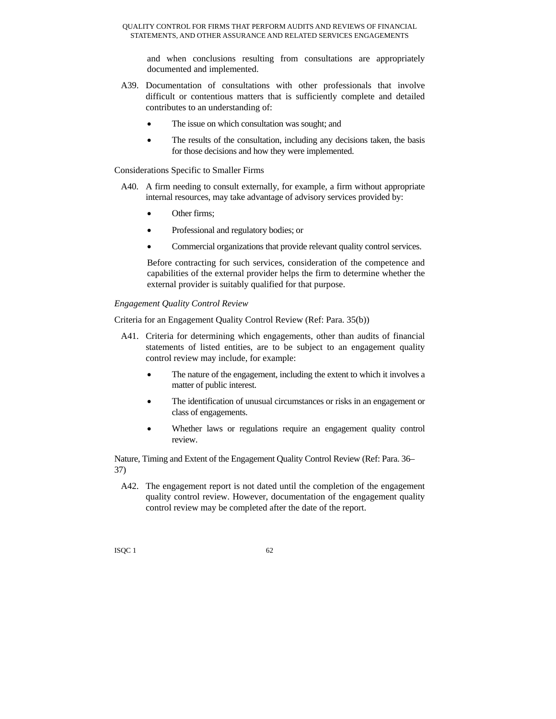#### QUALITY CONTROL FOR FIRMS THAT PERFORM AUDITS AND REVIEWS OF FINANCIAL STATEMENTS, AND OTHER ASSURANCE AND RELATED SERVICES ENGAGEMENTS

and when conclusions resulting from consultations are appropriately documented and implemented.

- A39. Documentation of consultations with other professionals that involve difficult or contentious matters that is sufficiently complete and detailed contributes to an understanding of:
	- The issue on which consultation was sought; and
	- The results of the consultation, including any decisions taken, the basis for those decisions and how they were implemented.

Considerations Specific to Smaller Firms

- A40. A firm needing to consult externally, for example, a firm without appropriate internal resources, may take advantage of advisory services provided by:
	- Other firms:
	- Professional and regulatory bodies; or
	- Commercial organizations that provide relevant quality control services.

Before contracting for such services, consideration of the competence and capabilities of the external provider helps the firm to determine whether the external provider is suitably qualified for that purpose.

#### *Engagement Quality Control Review*

Criteria for an Engagement Quality Control Review (Ref: Para. 35(b))

- A41. Criteria for determining which engagements, other than audits of financial statements of listed entities, are to be subject to an engagement quality control review may include, for example:
	- The nature of the engagement, including the extent to which it involves a matter of public interest.
	- The identification of unusual circumstances or risks in an engagement or class of engagements.
	- Whether laws or regulations require an engagement quality control review.

Nature, Timing and Extent of the Engagement Quality Control Review (Ref: Para. 36– 37)

A42. The engagement report is not dated until the completion of the engagement quality control review. However, documentation of the engagement quality control review may be completed after the date of the report.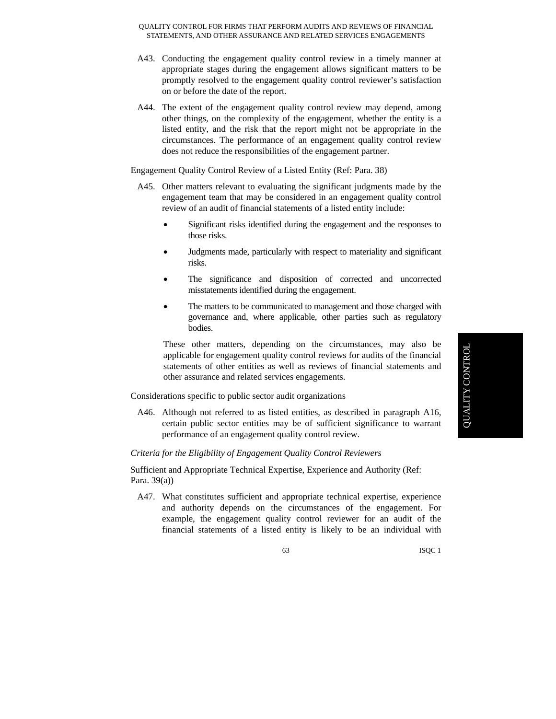- A43. Conducting the engagement quality control review in a timely manner at appropriate stages during the engagement allows significant matters to be promptly resolved to the engagement quality control reviewer's satisfaction on or before the date of the report.
- A44. The extent of the engagement quality control review may depend, among other things, on the complexity of the engagement, whether the entity is a listed entity, and the risk that the report might not be appropriate in the circumstances. The performance of an engagement quality control review does not reduce the responsibilities of the engagement partner.

Engagement Quality Control Review of a Listed Entity (Ref: Para. 38)

- A45. Other matters relevant to evaluating the significant judgments made by the engagement team that may be considered in an engagement quality control review of an audit of financial statements of a listed entity include:
	- Significant risks identified during the engagement and the responses to those risks.
	- Judgments made, particularly with respect to materiality and significant risks.
	- The significance and disposition of corrected and uncorrected misstatements identified during the engagement.
	- The matters to be communicated to management and those charged with governance and, where applicable, other parties such as regulatory bodies.

These other matters, depending on the circumstances, may also be applicable for engagement quality control reviews for audits of the financial statements of other entities as well as reviews of financial statements and other assurance and related services engagements.

# Considerations specific to public sector audit organizations

A46. Although not referred to as listed entities, as described in paragraph A16, certain public sector entities may be of sufficient significance to warrant performance of an engagement quality control review.

# *Criteria for the Eligibility of Engagement Quality Control Reviewers*

Sufficient and Appropriate Technical Expertise, Experience and Authority (Ref: Para. 39(a))

A47. What constitutes sufficient and appropriate technical expertise, experience and authority depends on the circumstances of the engagement. For example, the engagement quality control reviewer for an audit of the financial statements of a listed entity is likely to be an individual with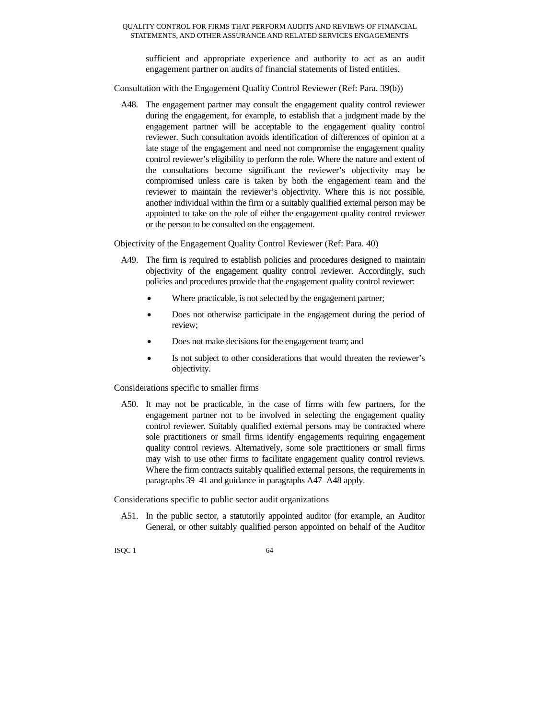sufficient and appropriate experience and authority to act as an audit engagement partner on audits of financial statements of listed entities.

Consultation with the Engagement Quality Control Reviewer (Ref: Para. 39(b))

A48. The engagement partner may consult the engagement quality control reviewer during the engagement, for example, to establish that a judgment made by the engagement partner will be acceptable to the engagement quality control reviewer. Such consultation avoids identification of differences of opinion at a late stage of the engagement and need not compromise the engagement quality control reviewer's eligibility to perform the role. Where the nature and extent of the consultations become significant the reviewer's objectivity may be compromised unless care is taken by both the engagement team and the reviewer to maintain the reviewer's objectivity. Where this is not possible, another individual within the firm or a suitably qualified external person may be appointed to take on the role of either the engagement quality control reviewer or the person to be consulted on the engagement.

Objectivity of the Engagement Quality Control Reviewer (Ref: Para. 40)

- A49. The firm is required to establish policies and procedures designed to maintain objectivity of the engagement quality control reviewer. Accordingly, such policies and procedures provide that the engagement quality control reviewer:
	- Where practicable, is not selected by the engagement partner;
	- Does not otherwise participate in the engagement during the period of review;
	- Does not make decisions for the engagement team; and
	- Is not subject to other considerations that would threaten the reviewer's objectivity.

Considerations specific to smaller firms

A50. It may not be practicable, in the case of firms with few partners, for the engagement partner not to be involved in selecting the engagement quality control reviewer. Suitably qualified external persons may be contracted where sole practitioners or small firms identify engagements requiring engagement quality control reviews. Alternatively, some sole practitioners or small firms may wish to use other firms to facilitate engagement quality control reviews. Where the firm contracts suitably qualified external persons, the requirements in paragraphs 39–41 and guidance in paragraphs A47–A48 apply.

Considerations specific to public sector audit organizations

A51. In the public sector, a statutorily appointed auditor (for example, an Auditor General, or other suitably qualified person appointed on behalf of the Auditor

 $ISQC<sub>1</sub>$ 

| ۰,           |                  |
|--------------|------------------|
| ï            | I<br>٠<br>٠<br>٠ |
| ۰.<br>×<br>٩ |                  |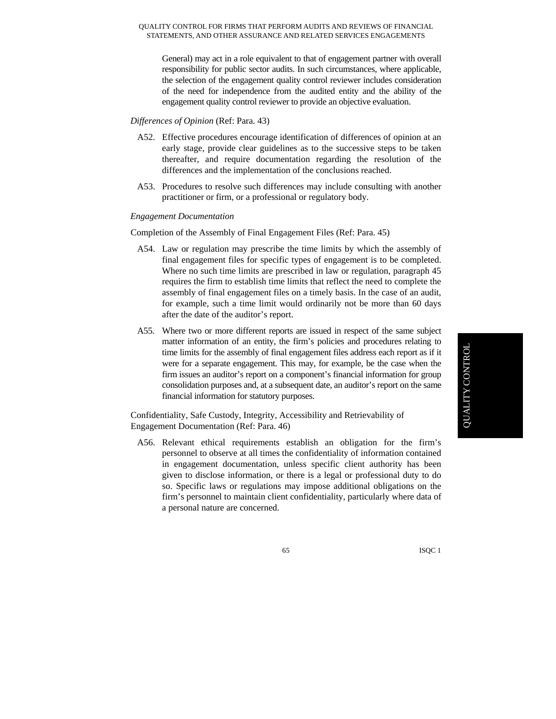General) may act in a role equivalent to that of engagement partner with overall responsibility for public sector audits. In such circumstances, where applicable, the selection of the engagement quality control reviewer includes consideration of the need for independence from the audited entity and the ability of the engagement quality control reviewer to provide an objective evaluation.

#### *Differences of Opinion* (Ref: Para. 43)

- A52. Effective procedures encourage identification of differences of opinion at an early stage, provide clear guidelines as to the successive steps to be taken thereafter, and require documentation regarding the resolution of the differences and the implementation of the conclusions reached.
- A53. Procedures to resolve such differences may include consulting with another practitioner or firm, or a professional or regulatory body.

#### *Engagement Documentation*

Completion of the Assembly of Final Engagement Files (Ref: Para. 45)

- A54. Law or regulation may prescribe the time limits by which the assembly of final engagement files for specific types of engagement is to be completed. Where no such time limits are prescribed in law or regulation, paragraph 45 requires the firm to establish time limits that reflect the need to complete the assembly of final engagement files on a timely basis. In the case of an audit, for example, such a time limit would ordinarily not be more than 60 days after the date of the auditor's report.
- A55. Where two or more different reports are issued in respect of the same subject matter information of an entity, the firm's policies and procedures relating to time limits for the assembly of final engagement files address each report as if it were for a separate engagement. This may, for example, be the case when the firm issues an auditor's report on a component's financial information for group consolidation purposes and, at a subsequent date, an auditor's report on the same financial information for statutory purposes.

Confidentiality, Safe Custody, Integrity, Accessibility and Retrievability of Engagement Documentation (Ref: Para. 46)

A56. Relevant ethical requirements establish an obligation for the firm's personnel to observe at all times the confidentiality of information contained in engagement documentation, unless specific client authority has been given to disclose information, or there is a legal or professional duty to do so. Specific laws or regulations may impose additional obligations on the firm's personnel to maintain client confidentiality, particularly where data of a personal nature are concerned.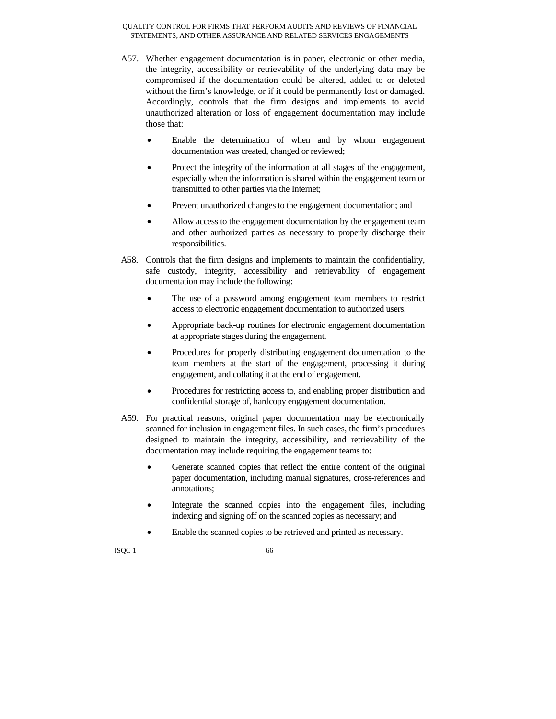#### QUALITY CONTROL FOR FIRMS THAT PERFORM AUDITS AND REVIEWS OF FINANCIAL STATEMENTS, AND OTHER ASSURANCE AND RELATED SERVICES ENGAGEMENTS

- A57. Whether engagement documentation is in paper, electronic or other media, the integrity, accessibility or retrievability of the underlying data may be compromised if the documentation could be altered, added to or deleted without the firm's knowledge, or if it could be permanently lost or damaged. Accordingly, controls that the firm designs and implements to avoid unauthorized alteration or loss of engagement documentation may include those that:
	- Enable the determination of when and by whom engagement documentation was created, changed or reviewed;
	- Protect the integrity of the information at all stages of the engagement, especially when the information is shared within the engagement team or transmitted to other parties via the Internet;
	- Prevent unauthorized changes to the engagement documentation; and
	- Allow access to the engagement documentation by the engagement team and other authorized parties as necessary to properly discharge their responsibilities.
- A58. Controls that the firm designs and implements to maintain the confidentiality, safe custody, integrity, accessibility and retrievability of engagement documentation may include the following:
	- The use of a password among engagement team members to restrict access to electronic engagement documentation to authorized users.
	- Appropriate back-up routines for electronic engagement documentation at appropriate stages during the engagement.
	- Procedures for properly distributing engagement documentation to the team members at the start of the engagement, processing it during engagement, and collating it at the end of engagement.
	- Procedures for restricting access to, and enabling proper distribution and confidential storage of, hardcopy engagement documentation.
- A59. For practical reasons, original paper documentation may be electronically scanned for inclusion in engagement files. In such cases, the firm's procedures designed to maintain the integrity, accessibility, and retrievability of the documentation may include requiring the engagement teams to:
	- Generate scanned copies that reflect the entire content of the original paper documentation, including manual signatures, cross-references and annotations;
	- Integrate the scanned copies into the engagement files, including indexing and signing off on the scanned copies as necessary; and
	- Enable the scanned copies to be retrieved and printed as necessary.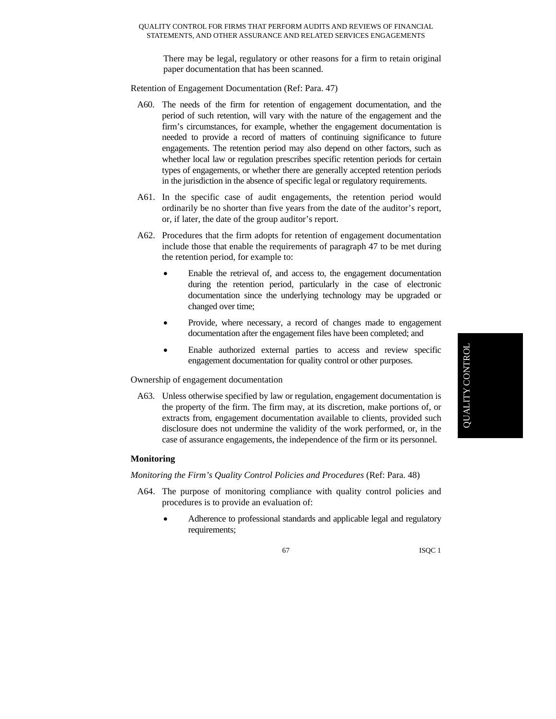There may be legal, regulatory or other reasons for a firm to retain original paper documentation that has been scanned.

Retention of Engagement Documentation (Ref: Para. 47)

- A60. The needs of the firm for retention of engagement documentation, and the period of such retention, will vary with the nature of the engagement and the firm's circumstances, for example, whether the engagement documentation is needed to provide a record of matters of continuing significance to future engagements. The retention period may also depend on other factors, such as whether local law or regulation prescribes specific retention periods for certain types of engagements, or whether there are generally accepted retention periods in the jurisdiction in the absence of specific legal or regulatory requirements.
- A61. In the specific case of audit engagements, the retention period would ordinarily be no shorter than five years from the date of the auditor's report, or, if later, the date of the group auditor's report.
- A62. Procedures that the firm adopts for retention of engagement documentation include those that enable the requirements of paragraph 47 to be met during the retention period, for example to:
	- Enable the retrieval of, and access to, the engagement documentation during the retention period, particularly in the case of electronic documentation since the underlying technology may be upgraded or changed over time;
	- Provide, where necessary, a record of changes made to engagement documentation after the engagement files have been completed; and
	- Enable authorized external parties to access and review specific engagement documentation for quality control or other purposes.

Ownership of engagement documentation

A63. Unless otherwise specified by law or regulation, engagement documentation is the property of the firm. The firm may, at its discretion, make portions of, or extracts from, engagement documentation available to clients, provided such disclosure does not undermine the validity of the work performed, or, in the case of assurance engagements, the independence of the firm or its personnel.

# **Monitoring**

*Monitoring the Firm's Quality Control Policies and Procedures* (Ref: Para. 48)

- A64. The purpose of monitoring compliance with quality control policies and procedures is to provide an evaluation of:
	- Adherence to professional standards and applicable legal and regulatory requirements;

67 ISQC 1

QUALITY CONTROL **QUALITY CONTROL**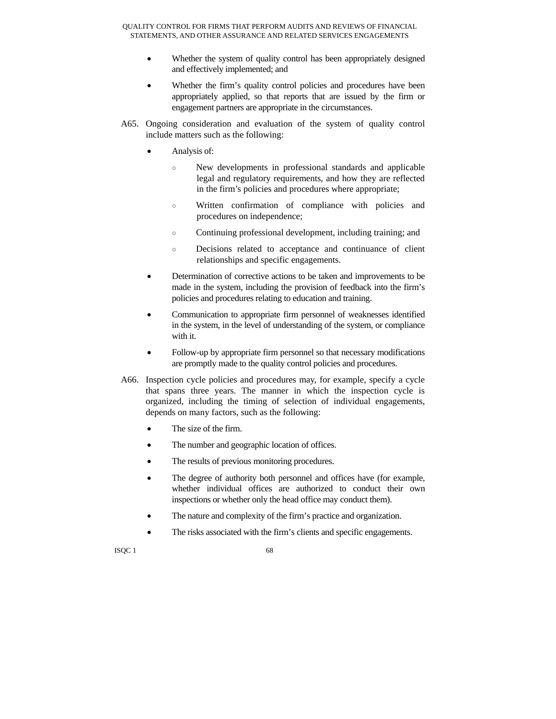- Whether the system of quality control has been appropriately designed and effectively implemented; and
- Whether the firm's quality control policies and procedures have been appropriately applied, so that reports that are issued by the firm or engagement partners are appropriate in the circumstances.
- A65. Ongoing consideration and evaluation of the system of quality control include matters such as the following:
	- Analysis of:
		- New developments in professional standards and applicable legal and regulatory requirements, and how they are reflected in the firm's policies and procedures where appropriate;
		- Written confirmation of compliance with policies and procedures on independence;
		- Continuing professional development, including training; and
		- Decisions related to acceptance and continuance of client relationships and specific engagements.
	- Determination of corrective actions to be taken and improvements to be made in the system, including the provision of feedback into the firm's policies and procedures relating to education and training.
	- Communication to appropriate firm personnel of weaknesses identified in the system, in the level of understanding of the system, or compliance with it.
	- Follow-up by appropriate firm personnel so that necessary modifications are promptly made to the quality control policies and procedures.
- A66. Inspection cycle policies and procedures may, for example, specify a cycle that spans three years. The manner in which the inspection cycle is organized, including the timing of selection of individual engagements, depends on many factors, such as the following:
	- The size of the firm.
	- The number and geographic location of offices.
	- The results of previous monitoring procedures.
	- The degree of authority both personnel and offices have (for example, whether individual offices are authorized to conduct their own inspections or whether only the head office may conduct them).
	- The nature and complexity of the firm's practice and organization.
	- The risks associated with the firm's clients and specific engagements.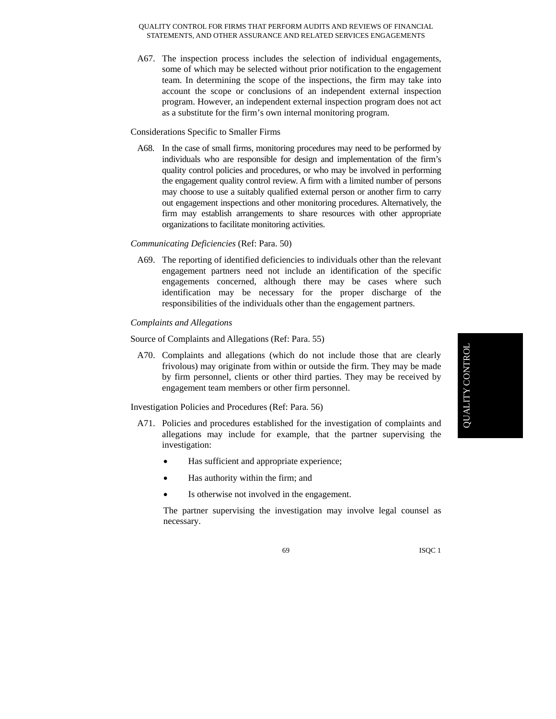QUALITY CONTROL FOR FIRMS THAT PERFORM AUDITS AND REVIEWS OF FINANCIAL STATEMENTS, AND OTHER ASSURANCE AND RELATED SERVICES ENGAGEMENTS

A67. The inspection process includes the selection of individual engagements, some of which may be selected without prior notification to the engagement team. In determining the scope of the inspections, the firm may take into account the scope or conclusions of an independent external inspection program. However, an independent external inspection program does not act as a substitute for the firm's own internal monitoring program.

#### Considerations Specific to Smaller Firms

A68. In the case of small firms, monitoring procedures may need to be performed by individuals who are responsible for design and implementation of the firm's quality control policies and procedures, or who may be involved in performing the engagement quality control review. A firm with a limited number of persons may choose to use a suitably qualified external person or another firm to carry out engagement inspections and other monitoring procedures. Alternatively, the firm may establish arrangements to share resources with other appropriate organizations to facilitate monitoring activities.

#### *Communicating Deficiencies* (Ref: Para. 50)

A69. The reporting of identified deficiencies to individuals other than the relevant engagement partners need not include an identification of the specific engagements concerned, although there may be cases where such identification may be necessary for the proper discharge of the responsibilities of the individuals other than the engagement partners.

#### *Complaints and Allegations*

Source of Complaints and Allegations (Ref: Para. 55)

A70. Complaints and allegations (which do not include those that are clearly frivolous) may originate from within or outside the firm. They may be made by firm personnel, clients or other third parties. They may be received by engagement team members or other firm personnel.

Investigation Policies and Procedures (Ref: Para. 56)

- A71. Policies and procedures established for the investigation of complaints and allegations may include for example, that the partner supervising the investigation:
	- Has sufficient and appropriate experience;
	- Has authority within the firm; and
	- Is otherwise not involved in the engagement.

The partner supervising the investigation may involve legal counsel as necessary.

QUALITY CONTROL **QUALITY CONTROL**